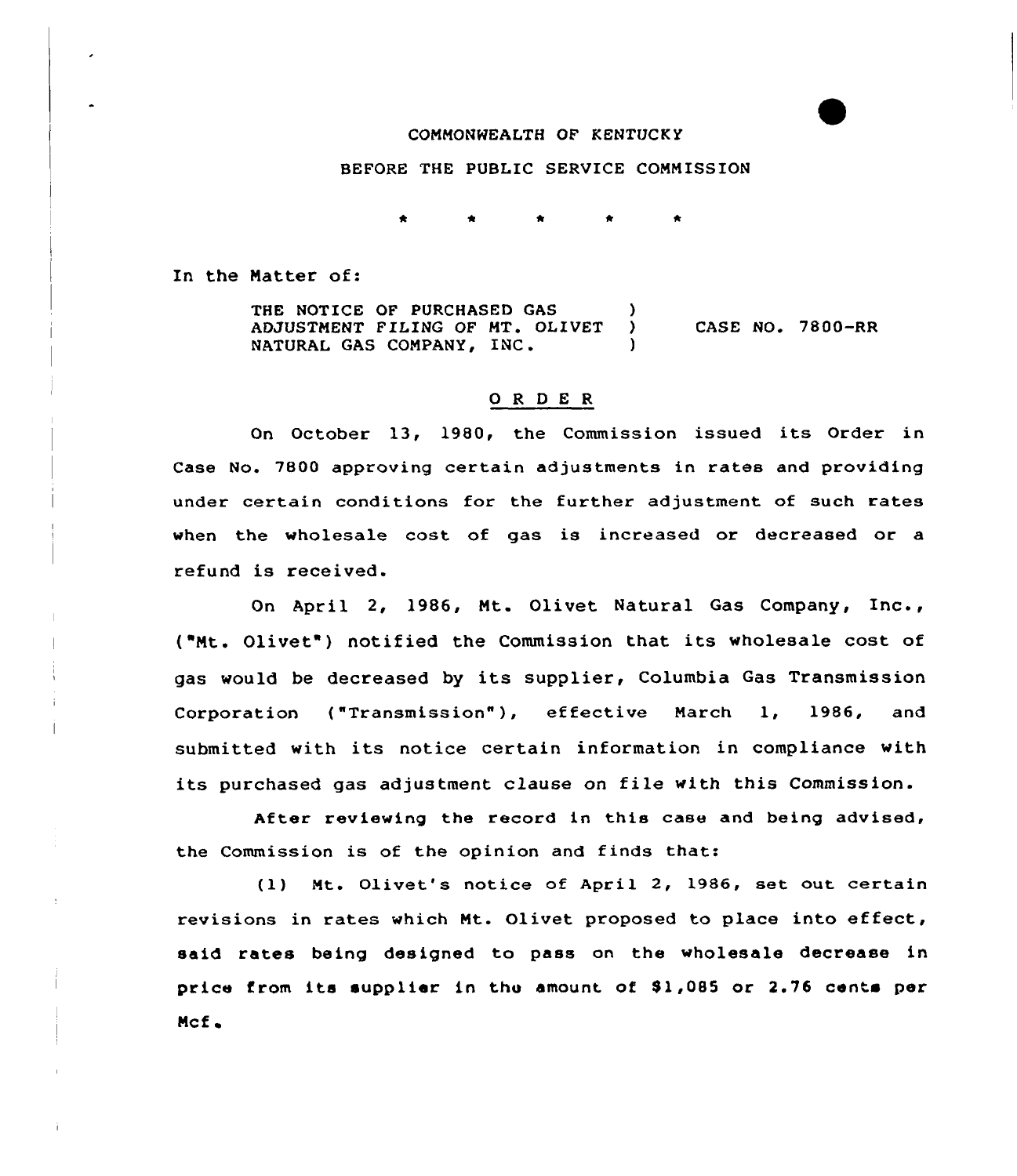## CONNONWEALTH OF KENTUCK Y

# BEFORE THE PUBLIC SERVICE CONNISSION

In the Natter of:

THE NOTICE OF PURCHASED GAS (3) ADJUSTMENT FILING OF MT. OLIVET NATURAL GAS COMPANY, INC. ) CASE NO. 7800-RR

#### ORDER

Qn October 13, 1980, the Commission issued its Order in Case No. 7800 approving certain adjustments in rates and providing under certain conditions for the further adjustment of such rates when the wholesale cost of gas is increased or decreased or a refund is received.

On April 2, 1986, Nt. Olivet Natural Gas Company, Inc., {"Nt. Olivet") notified the Commission that its wholesale cost of gas would be decreased by its supplier, Columbia Gas Transmission Corporation {"Transmission"), effective Narch 1, 1986, and submitted with its notice certain information in compliance with its purchased gas adjustment clause on file with this Commission.

After reviewing the record in this case and being advised, the Commission is of the opinion and finds thats

(l) Nt. Olivet's notice of April 2, 1986, set out certain revisions in rates which Nt. Olivet proposed to place into effect, said rates being designed to pass on the wholesale decrease in price from its supplier in the amount of \$1,085 or 2.76 cents per Mcf.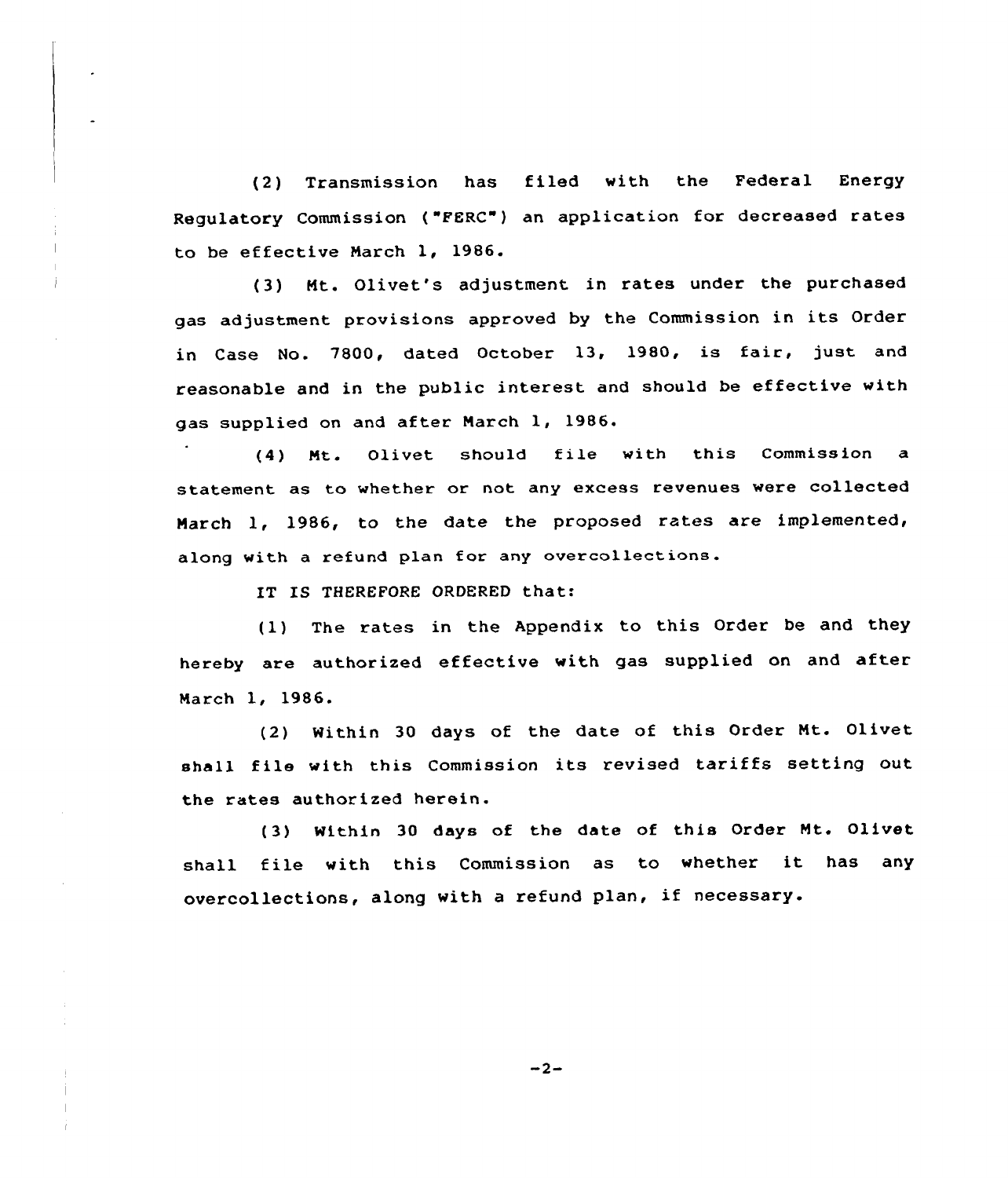(2) Transmission has filed with the Federal Energy Regulatory Commission ("FERC") an application for decreased rates to be effective March 1, 1986.

(3) Mt. Olivet's adjustment in rates under the purchased gas adjustment provisions approved by the Commission in its Order in Case No. 7800, dated October 13, 1980, is fair, just and reasonable and in the public interest and should be effective with gas supplied on and after March 1, 1986.

(4) Mt. Olivet should file with this Commission <sup>a</sup> statement as to whether or not any excess revenues were collected March 1, 1986, to the date the proposed rates are implemented, along with a refund plan for any overcollections.

IT IS THEREFORE ORDERED that:

(1) The rates in the Appendix to this Order be and they hereby are authorized effective with gas supplied on and after March 1, 1986.

(2) Within 30 days of the date of this Order Nt. Olivet shall file with this Commission its revised tariffs setting out the rates authorized herein.

(3) Within 30 days of the date of this Order Mt. Olivet shall file with this Commission as to whether it has any overcollections, along with <sup>a</sup> refund plan, if necessary.

 $-2-$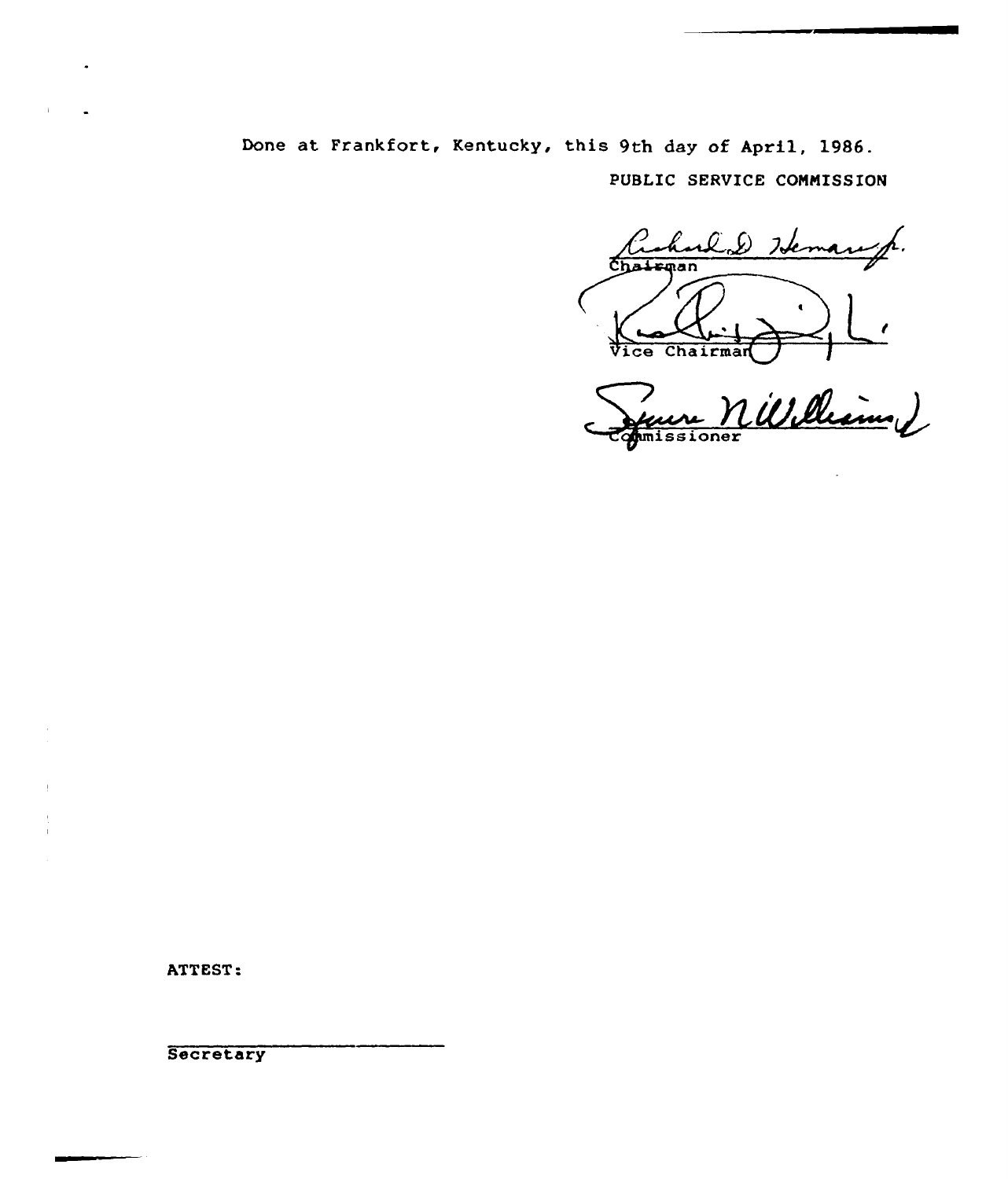Done at Frankfort, Kentucky, this 9th day of April, 1986. PUBLIC SERVICE COMMISSION

rlad Islema hrman Chairman  $\overline{\mathbf{c}}$ e $\overline{\mathbf{c}}$ 

William 2 missioner

ATTEST:

Secretary